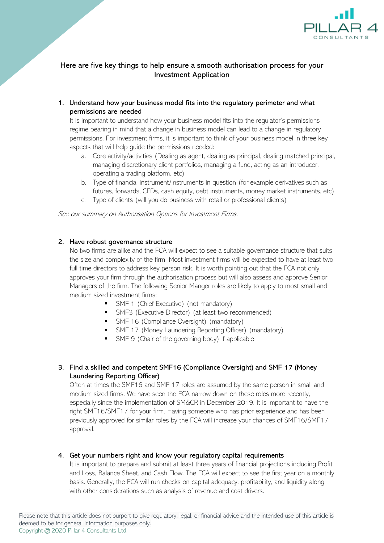

# Here are five key things to help ensure a smooth authorisation process for your Investment Application

1. Understand how your business model fits into the regulatory perimeter and what permissions are needed

It is important to understand how your business model fits into the regulator's permissions regime bearing in mind that a change in business model can lead to a change in regulatory permissions. For investment firms, it is important to think of your business model in three key aspects that will help guide the permissions needed:

- a. Core activity/activities (Dealing as agent, dealing as principal, dealing matched principal, managing discretionary client portfolios, managing a fund, acting as an introducer, operating a trading platform, etc)
- b. Type of financial instrument/instruments in question (for example derivatives such as futures, forwards, CFDs, cash equity, debt instruments, money market instruments, etc)
- c. Type of clients (will you do business with retail or professional clients)

See our summary on Authorisation Options for Investment Firms.

### 2. Have robust governance structure

No two firms are alike and the FCA will expect to see a suitable governance structure that suits the size and complexity of the firm. Most investment firms will be expected to have at least two full time directors to address key person risk. It is worth pointing out that the FCA not only approves your firm through the authorisation process but will also assess and approve Senior Managers of the firm. The following Senior Manger roles are likely to apply to most small and medium sized investment firms:

- SMF 1 (Chief Executive) (not mandatory)
- **■** SMF3 (Executive Director) (at least two recommended)
- SMF 16 (Compliance Oversight) (mandatory)
- **•** SMF 17 (Money Laundering Reporting Officer) (mandatory)
- SMF 9 (Chair of the governing body) if applicable

## 3. Find a skilled and competent SMF16 (Compliance Oversight) and SMF 17 (Money Laundering Reporting Officer)

Often at times the SMF16 and SMF 17 roles are assumed by the same person in small and medium sized firms. We have seen the FCA narrow down on these roles more recently, especially since the implementation of SM&CR in December 2019. It is important to have the right SMF16/SMF17 for your firm. Having someone who has prior experience and has been previously approved for similar roles by the FCA will increase your chances of SMF16/SMF17 approval.

### 4. Get your numbers right and know your regulatory capital requirements

It is important to prepare and submit at least three years of financial projections including Profit and Loss, Balance Sheet, and Cash Flow. The FCA will expect to see the first year on a monthly basis. Generally, the FCA will run checks on capital adequacy, profitability, and liquidity along with other considerations such as analysis of revenue and cost drivers.